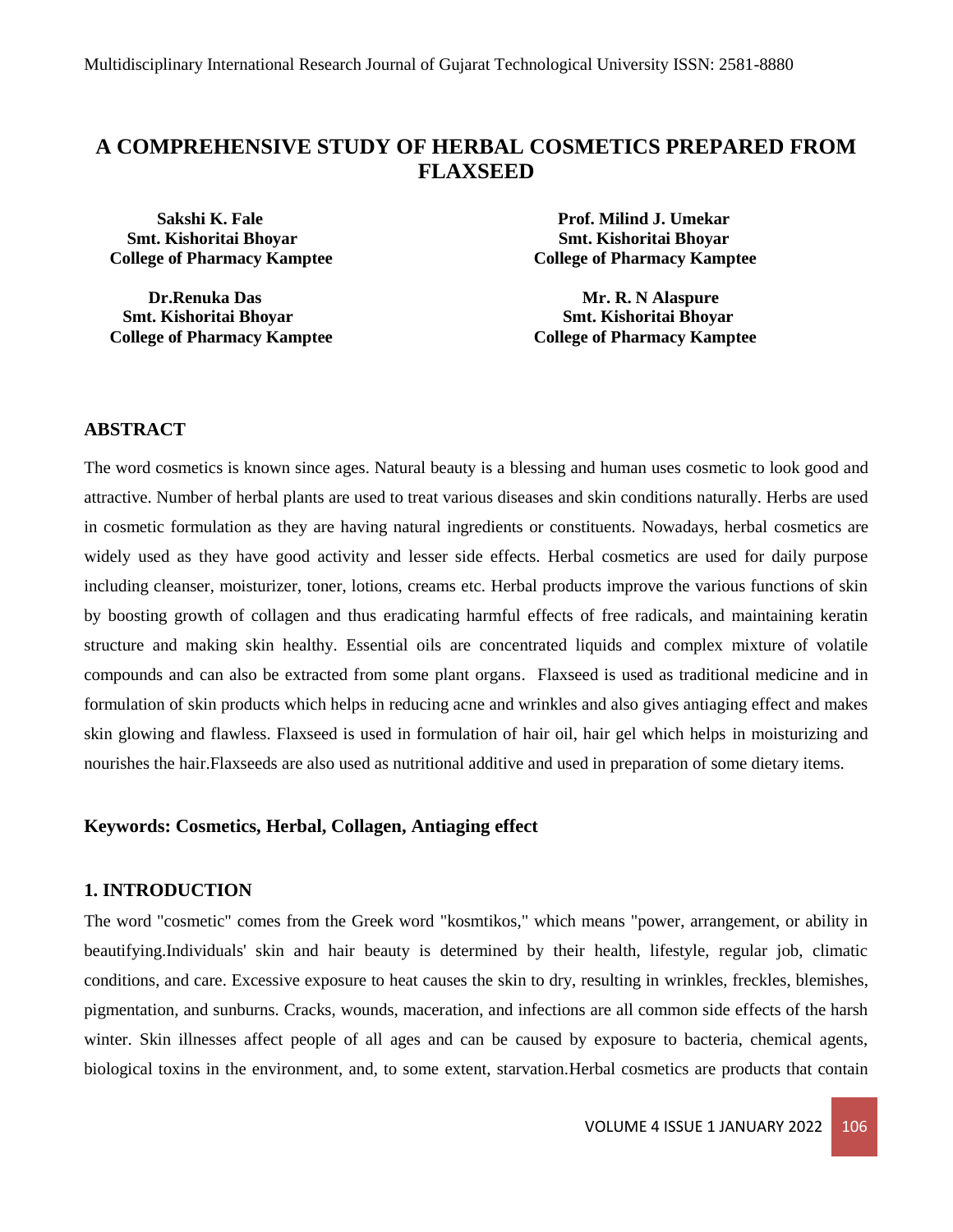# **A COMPREHENSIVE STUDY OF HERBAL COSMETICS PREPARED FROM FLAXSEED**

 **Smt. Kishoritai Bhoyar Smt. Kishoritai Bhoyar College of Pharmacy Kamptee College of Pharmacy Kamptee**

**Dr.Renuka Das Mr. R. N Alaspure Smt. Kishoritai Bhoyar Smt. Kishoritai Bhoyar College of Pharmacy Kamptee College of Pharmacy Kamptee** 

 **Sakshi K. Fale Prof. Milind J. Umekar** 

# **ABSTRACT**

The word cosmetics is known since ages. Natural beauty is a blessing and human uses cosmetic to look good and attractive. Number of herbal plants are used to treat various diseases and skin conditions naturally. Herbs are used in cosmetic formulation as they are having natural ingredients or constituents. Nowadays, herbal cosmetics are widely used as they have good activity and lesser side effects. Herbal cosmetics are used for daily purpose including cleanser, moisturizer, toner, lotions, creams etc. Herbal products improve the various functions of skin by boosting growth of collagen and thus eradicating harmful effects of free radicals, and maintaining keratin structure and making skin healthy. Essential oils are concentrated liquids and complex mixture of volatile compounds and can also be extracted from some plant organs. Flaxseed is used as traditional medicine and in formulation of skin products which helps in reducing acne and wrinkles and also gives antiaging effect and makes skin glowing and flawless. Flaxseed is used in formulation of hair oil, hair gel which helps in moisturizing and nourishes the hair.Flaxseeds are also used as nutritional additive and used in preparation of some dietary items.

# **Keywords: Cosmetics, Herbal, Collagen, Antiaging effect**

#### **1. INTRODUCTION**

The word "cosmetic" comes from the Greek word "kosmtikos," which means "power, arrangement, or ability in beautifying.Individuals' skin and hair beauty is determined by their health, lifestyle, regular job, climatic conditions, and care. Excessive exposure to heat causes the skin to dry, resulting in wrinkles, freckles, blemishes, pigmentation, and sunburns. Cracks, wounds, maceration, and infections are all common side effects of the harsh winter. Skin illnesses affect people of all ages and can be caused by exposure to bacteria, chemical agents, biological toxins in the environment, and, to some extent, starvation.Herbal cosmetics are products that contain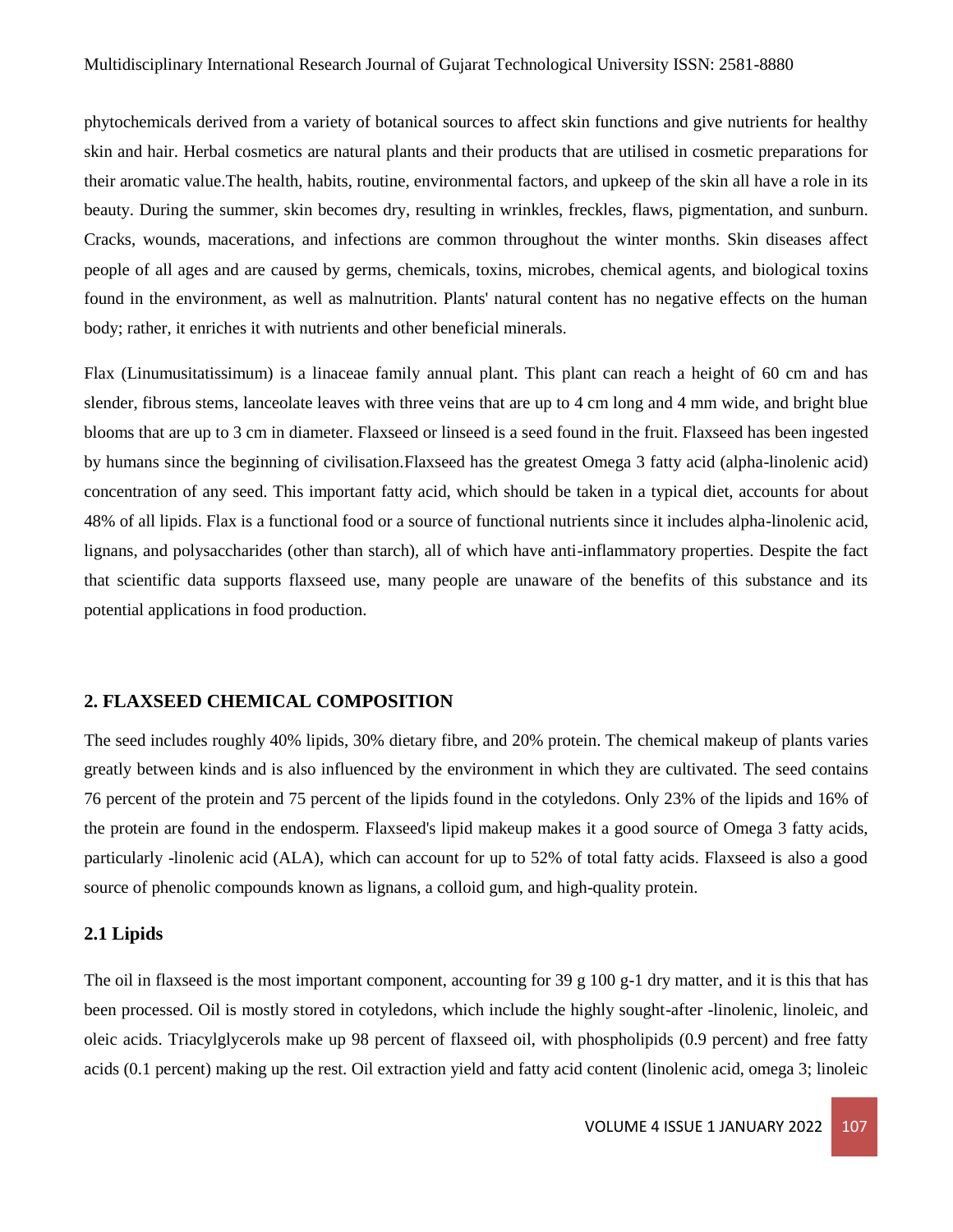phytochemicals derived from a variety of botanical sources to affect skin functions and give nutrients for healthy skin and hair. Herbal cosmetics are natural plants and their products that are utilised in cosmetic preparations for their aromatic value.The health, habits, routine, environmental factors, and upkeep of the skin all have a role in its beauty. During the summer, skin becomes dry, resulting in wrinkles, freckles, flaws, pigmentation, and sunburn. Cracks, wounds, macerations, and infections are common throughout the winter months. Skin diseases affect people of all ages and are caused by germs, chemicals, toxins, microbes, chemical agents, and biological toxins found in the environment, as well as malnutrition. Plants' natural content has no negative effects on the human body; rather, it enriches it with nutrients and other beneficial minerals.

Flax (Linumusitatissimum) is a linaceae family annual plant. This plant can reach a height of 60 cm and has slender, fibrous stems, lanceolate leaves with three veins that are up to 4 cm long and 4 mm wide, and bright blue blooms that are up to 3 cm in diameter. Flaxseed or linseed is a seed found in the fruit. Flaxseed has been ingested by humans since the beginning of civilisation.Flaxseed has the greatest Omega 3 fatty acid (alpha-linolenic acid) concentration of any seed. This important fatty acid, which should be taken in a typical diet, accounts for about 48% of all lipids. Flax is a functional food or a source of functional nutrients since it includes alpha-linolenic acid, lignans, and polysaccharides (other than starch), all of which have anti-inflammatory properties. Despite the fact that scientific data supports flaxseed use, many people are unaware of the benefits of this substance and its potential applications in food production.

#### **2. FLAXSEED CHEMICAL COMPOSITION**

The seed includes roughly 40% lipids, 30% dietary fibre, and 20% protein. The chemical makeup of plants varies greatly between kinds and is also influenced by the environment in which they are cultivated. The seed contains 76 percent of the protein and 75 percent of the lipids found in the cotyledons. Only 23% of the lipids and 16% of the protein are found in the endosperm. Flaxseed's lipid makeup makes it a good source of Omega 3 fatty acids, particularly -linolenic acid (ALA), which can account for up to 52% of total fatty acids. Flaxseed is also a good source of phenolic compounds known as lignans, a colloid gum, and high-quality protein.

#### **2.1 Lipids**

The oil in flaxseed is the most important component, accounting for 39 g 100 g-1 dry matter, and it is this that has been processed. Oil is mostly stored in cotyledons, which include the highly sought-after -linolenic, linoleic, and oleic acids. Triacylglycerols make up 98 percent of flaxseed oil, with phospholipids (0.9 percent) and free fatty acids (0.1 percent) making up the rest. Oil extraction yield and fatty acid content (linolenic acid, omega 3; linoleic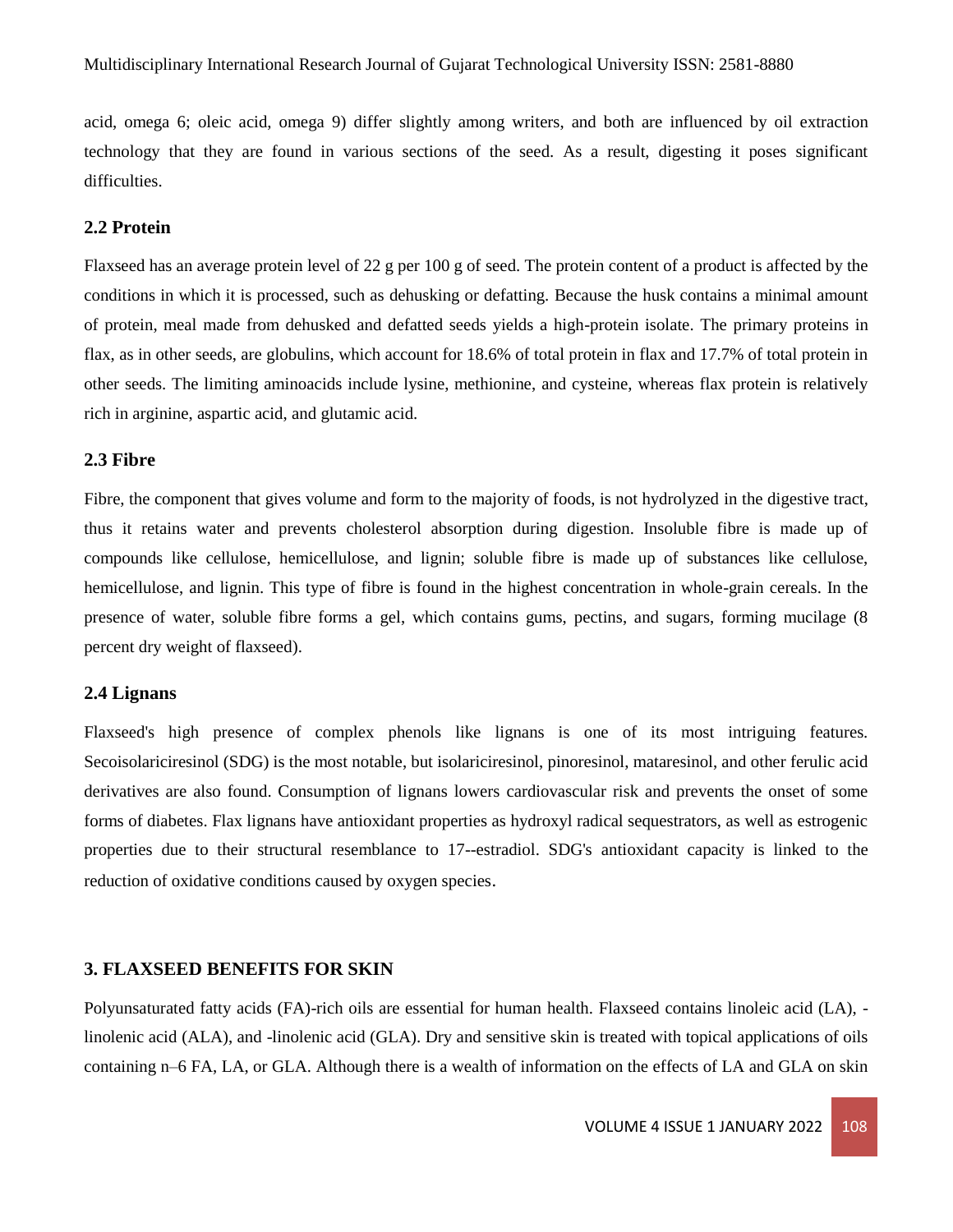acid, omega 6; oleic acid, omega 9) differ slightly among writers, and both are influenced by oil extraction technology that they are found in various sections of the seed. As a result, digesting it poses significant difficulties.

## **2.2 Protein**

Flaxseed has an average protein level of 22 g per 100 g of seed. The protein content of a product is affected by the conditions in which it is processed, such as dehusking or defatting. Because the husk contains a minimal amount of protein, meal made from dehusked and defatted seeds yields a high-protein isolate. The primary proteins in flax, as in other seeds, are globulins, which account for 18.6% of total protein in flax and 17.7% of total protein in other seeds. The limiting aminoacids include lysine, methionine, and cysteine, whereas flax protein is relatively rich in arginine, aspartic acid, and glutamic acid.

## **2.3 Fibre**

Fibre, the component that gives volume and form to the majority of foods, is not hydrolyzed in the digestive tract, thus it retains water and prevents cholesterol absorption during digestion. Insoluble fibre is made up of compounds like cellulose, hemicellulose, and lignin; soluble fibre is made up of substances like cellulose, hemicellulose, and lignin. This type of fibre is found in the highest concentration in whole-grain cereals. In the presence of water, soluble fibre forms a gel, which contains gums, pectins, and sugars, forming mucilage (8 percent dry weight of flaxseed).

## **2.4 Lignans**

Flaxseed's high presence of complex phenols like lignans is one of its most intriguing features. Secoisolariciresinol (SDG) is the most notable, but isolariciresinol, pinoresinol, mataresinol, and other ferulic acid derivatives are also found. Consumption of lignans lowers cardiovascular risk and prevents the onset of some forms of diabetes. Flax lignans have antioxidant properties as hydroxyl radical sequestrators, as well as estrogenic properties due to their structural resemblance to 17--estradiol. SDG's antioxidant capacity is linked to the reduction of oxidative conditions caused by oxygen species.

#### **3. FLAXSEED BENEFITS FOR SKIN**

Polyunsaturated fatty acids (FA)-rich oils are essential for human health. Flaxseed contains linoleic acid (LA), linolenic acid (ALA), and -linolenic acid (GLA). Dry and sensitive skin is treated with topical applications of oils containing n–6 FA, LA, or GLA. Although there is a wealth of information on the effects of LA and GLA on skin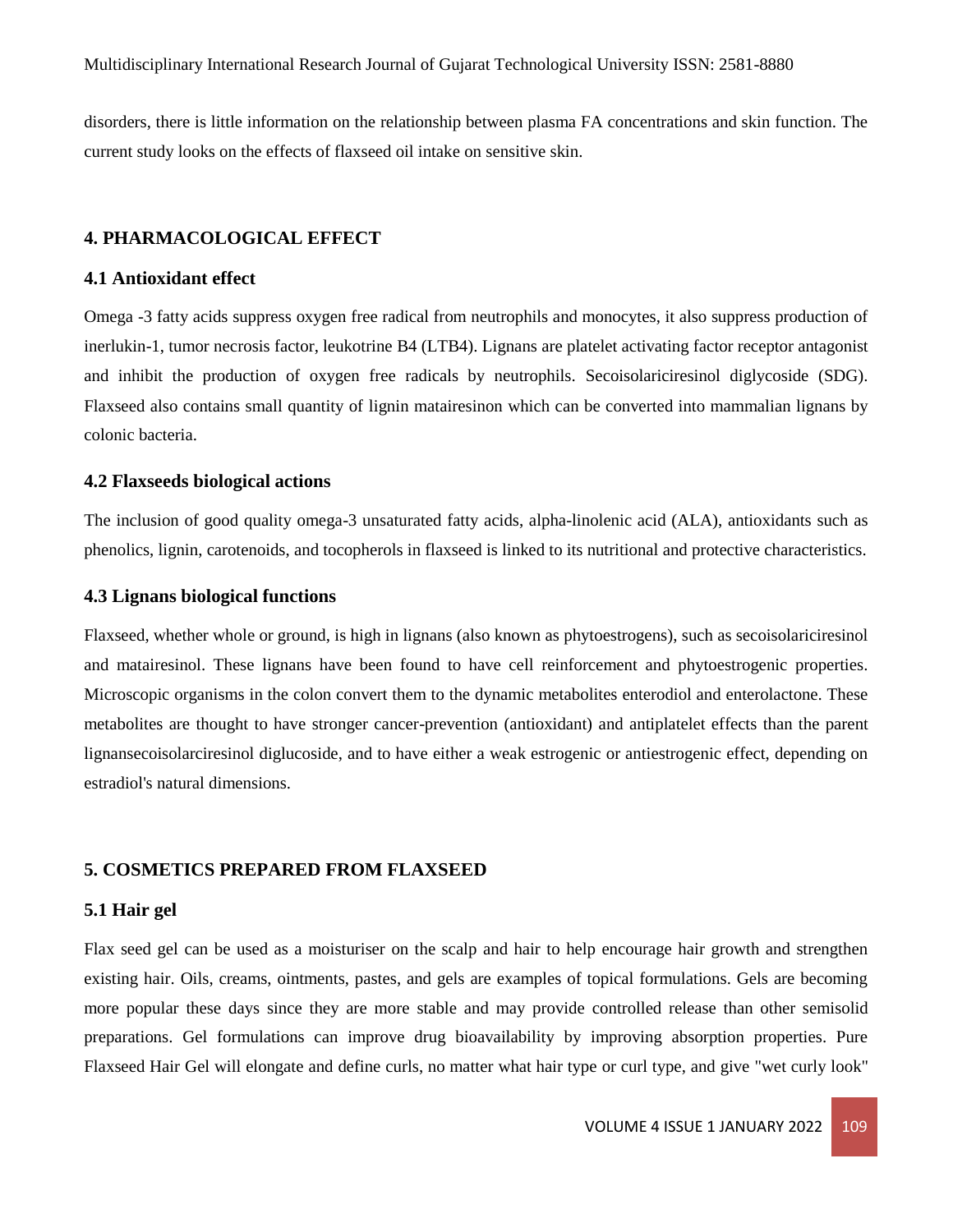disorders, there is little information on the relationship between plasma FA concentrations and skin function. The current study looks on the effects of flaxseed oil intake on sensitive skin.

#### **4. PHARMACOLOGICAL EFFECT**

## **4.1 Antioxidant effect**

Omega -3 fatty acids suppress oxygen free radical from neutrophils and monocytes, it also suppress production of inerlukin-1, tumor necrosis factor, leukotrine B4 (LTB4). Lignans are platelet activating factor receptor antagonist and inhibit the production of oxygen free radicals by neutrophils. Secoisolariciresinol diglycoside (SDG). Flaxseed also contains small quantity of lignin matairesinon which can be converted into mammalian lignans by colonic bacteria.

#### **4.2 Flaxseeds biological actions**

The inclusion of good quality omega-3 unsaturated fatty acids, alpha-linolenic acid (ALA), antioxidants such as phenolics, lignin, carotenoids, and tocopherols in flaxseed is linked to its nutritional and protective characteristics.

#### **4.3 Lignans biological functions**

Flaxseed, whether whole or ground, is high in lignans (also known as phytoestrogens), such as secoisolariciresinol and matairesinol. These lignans have been found to have cell reinforcement and phytoestrogenic properties. Microscopic organisms in the colon convert them to the dynamic metabolites enterodiol and enterolactone. These metabolites are thought to have stronger cancer-prevention (antioxidant) and antiplatelet effects than the parent lignansecoisolarciresinol diglucoside, and to have either a weak estrogenic or antiestrogenic effect, depending on estradiol's natural dimensions.

#### **5. COSMETICS PREPARED FROM FLAXSEED**

#### **5.1 Hair gel**

Flax seed gel can be used as a moisturiser on the scalp and hair to help encourage hair growth and strengthen existing hair. Oils, creams, ointments, pastes, and gels are examples of topical formulations. Gels are becoming more popular these days since they are more stable and may provide controlled release than other semisolid preparations. Gel formulations can improve drug bioavailability by improving absorption properties. Pure Flaxseed Hair Gel will elongate and define curls, no matter what hair type or curl type, and give "wet curly look"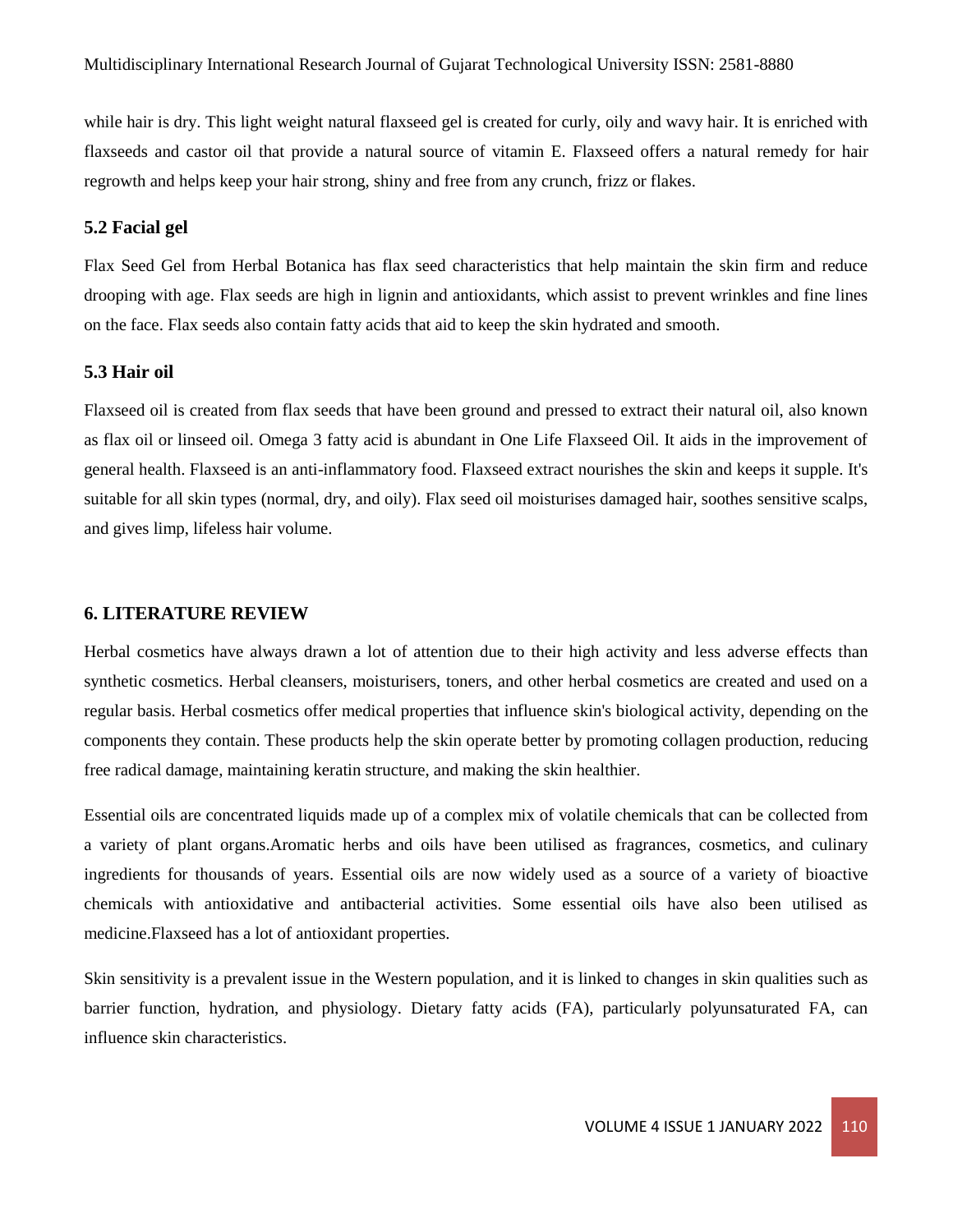while hair is dry. This light weight natural flaxseed gel is created for curly, oily and wavy hair. It is enriched with flaxseeds and castor oil that provide a natural source of vitamin E. Flaxseed offers a natural remedy for hair regrowth and helps keep your hair strong, shiny and free from any crunch, frizz or flakes.

# **5.2 Facial gel**

Flax Seed Gel from Herbal Botanica has flax seed characteristics that help maintain the skin firm and reduce drooping with age. Flax seeds are high in lignin and antioxidants, which assist to prevent wrinkles and fine lines on the face. Flax seeds also contain fatty acids that aid to keep the skin hydrated and smooth.

## **5.3 Hair oil**

Flaxseed oil is created from flax seeds that have been ground and pressed to extract their natural oil, also known as flax oil or linseed oil. Omega 3 fatty acid is abundant in One Life Flaxseed Oil. It aids in the improvement of general health. Flaxseed is an anti-inflammatory food. Flaxseed extract nourishes the skin and keeps it supple. It's suitable for all skin types (normal, dry, and oily). Flax seed oil moisturises damaged hair, soothes sensitive scalps, and gives limp, lifeless hair volume.

#### **6. LITERATURE REVIEW**

Herbal cosmetics have always drawn a lot of attention due to their high activity and less adverse effects than synthetic cosmetics. Herbal cleansers, moisturisers, toners, and other herbal cosmetics are created and used on a regular basis. Herbal cosmetics offer medical properties that influence skin's biological activity, depending on the components they contain. These products help the skin operate better by promoting collagen production, reducing free radical damage, maintaining keratin structure, and making the skin healthier.

Essential oils are concentrated liquids made up of a complex mix of volatile chemicals that can be collected from a variety of plant organs.Aromatic herbs and oils have been utilised as fragrances, cosmetics, and culinary ingredients for thousands of years. Essential oils are now widely used as a source of a variety of bioactive chemicals with antioxidative and antibacterial activities. Some essential oils have also been utilised as medicine.Flaxseed has a lot of antioxidant properties.

Skin sensitivity is a prevalent issue in the Western population, and it is linked to changes in skin qualities such as barrier function, hydration, and physiology. Dietary fatty acids (FA), particularly polyunsaturated FA, can influence skin characteristics.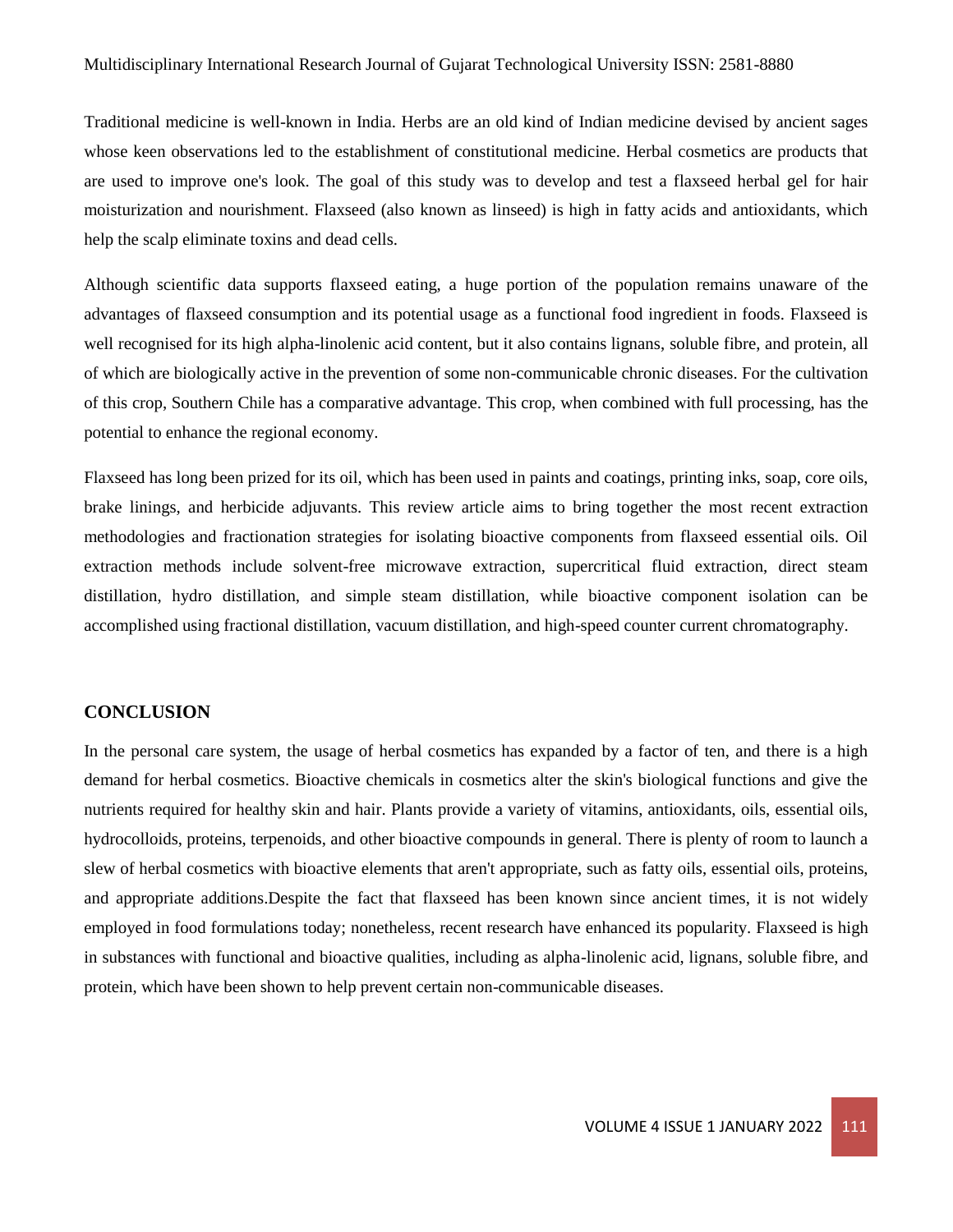Traditional medicine is well-known in India. Herbs are an old kind of Indian medicine devised by ancient sages whose keen observations led to the establishment of constitutional medicine. Herbal cosmetics are products that are used to improve one's look. The goal of this study was to develop and test a flaxseed herbal gel for hair moisturization and nourishment. Flaxseed (also known as linseed) is high in fatty acids and antioxidants, which help the scalp eliminate toxins and dead cells.

Although scientific data supports flaxseed eating, a huge portion of the population remains unaware of the advantages of flaxseed consumption and its potential usage as a functional food ingredient in foods. Flaxseed is well recognised for its high alpha-linolenic acid content, but it also contains lignans, soluble fibre, and protein, all of which are biologically active in the prevention of some non-communicable chronic diseases. For the cultivation of this crop, Southern Chile has a comparative advantage. This crop, when combined with full processing, has the potential to enhance the regional economy.

Flaxseed has long been prized for its oil, which has been used in paints and coatings, printing inks, soap, core oils, brake linings, and herbicide adjuvants. This review article aims to bring together the most recent extraction methodologies and fractionation strategies for isolating bioactive components from flaxseed essential oils. Oil extraction methods include solvent-free microwave extraction, supercritical fluid extraction, direct steam distillation, hydro distillation, and simple steam distillation, while bioactive component isolation can be accomplished using fractional distillation, vacuum distillation, and high-speed counter current chromatography.

## **CONCLUSION**

In the personal care system, the usage of herbal cosmetics has expanded by a factor of ten, and there is a high demand for herbal cosmetics. Bioactive chemicals in cosmetics alter the skin's biological functions and give the nutrients required for healthy skin and hair. Plants provide a variety of vitamins, antioxidants, oils, essential oils, hydrocolloids, proteins, terpenoids, and other bioactive compounds in general. There is plenty of room to launch a slew of herbal cosmetics with bioactive elements that aren't appropriate, such as fatty oils, essential oils, proteins, and appropriate additions.Despite the fact that flaxseed has been known since ancient times, it is not widely employed in food formulations today; nonetheless, recent research have enhanced its popularity. Flaxseed is high in substances with functional and bioactive qualities, including as alpha-linolenic acid, lignans, soluble fibre, and protein, which have been shown to help prevent certain non-communicable diseases.